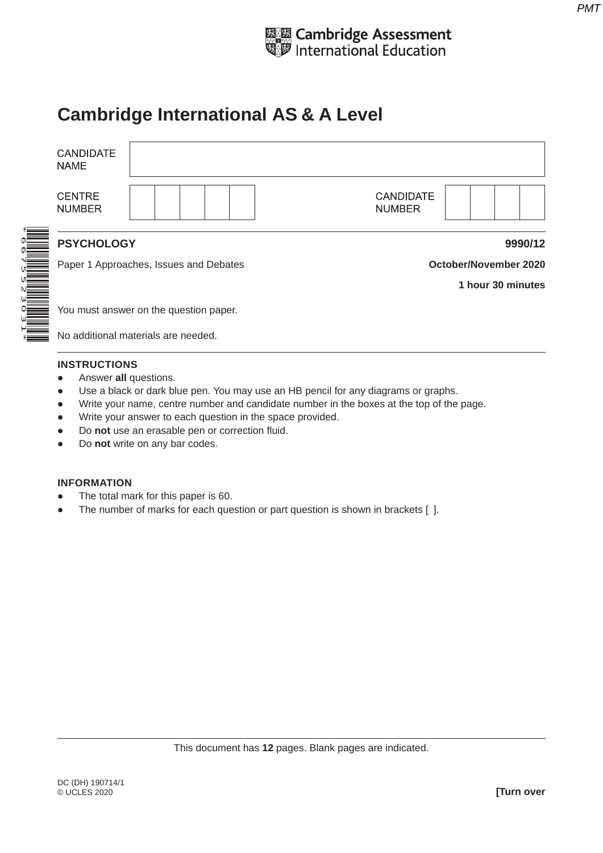

# **Cambridge International AS & A Level**

| <b>CANDIDATE</b><br><b>NAME</b>        |                                        |                                   |                   |  |
|----------------------------------------|----------------------------------------|-----------------------------------|-------------------|--|
| <b>CENTRE</b><br><b>NUMBER</b>         |                                        | <b>CANDIDATE</b><br><b>NUMBER</b> |                   |  |
| <b>PSYCHOLOGY</b>                      |                                        |                                   | 9990/12           |  |
|                                        | Paper 1 Approaches, Issues and Debates | October/November 2020             |                   |  |
|                                        |                                        |                                   | 1 hour 30 minutes |  |
| You must answer on the question paper. |                                        |                                   |                   |  |

No additional materials are needed.

#### **INSTRUCTIONS**

- **•** Answer all questions.
- Use a black or dark blue pen. You may use an HB pencil for any diagrams or graphs.
- Write your name, centre number and candidate number in the boxes at the top of the page.
- Write your answer to each question in the space provided.
- Do **not** use an erasable pen or correction fluid.
- Do **not** write on any bar codes.

#### **INFORMATION**

- The total mark for this paper is 60.
- The number of marks for each question or part question is shown in brackets [ ].

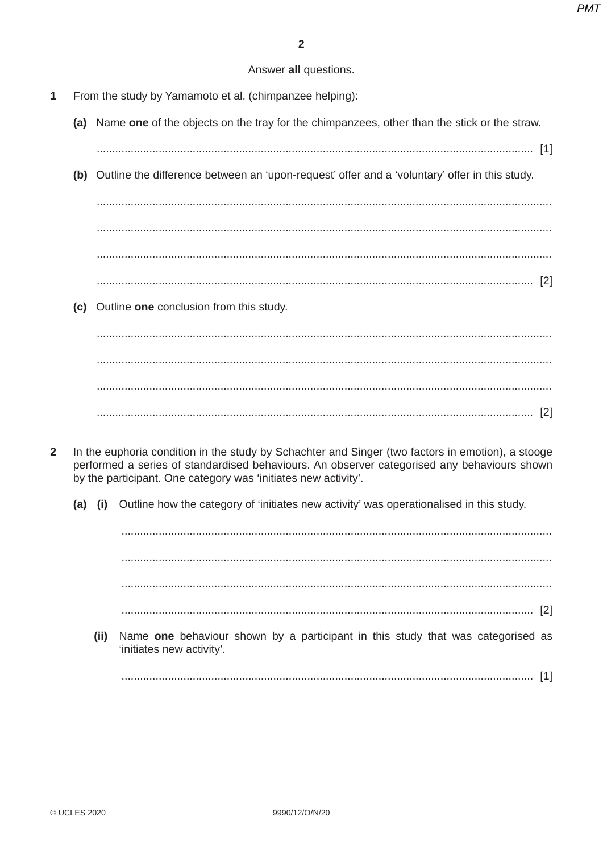# Answer all questions.

- From the study by Yamamoto et al. (chimpanzee helping): 1
	- (a) Name one of the objects on the tray for the chimpanzees, other than the stick or the straw.
		-
	- (b) Outline the difference between an 'upon-request' offer and a 'voluntary' offer in this study.

- 
- (c) Outline one conclusion from this study.

- $\overline{2}$ In the euphoria condition in the study by Schachter and Singer (two factors in emotion), a stooge performed a series of standardised behaviours. An observer categorised any behaviours shown by the participant. One category was 'initiates new activity'.
	- (a) (i) Outline how the category of 'initiates new activity' was operationalised in this study.

 $(ii)$ Name one behaviour shown by a participant in this study that was categorised as 'initiates new activity'.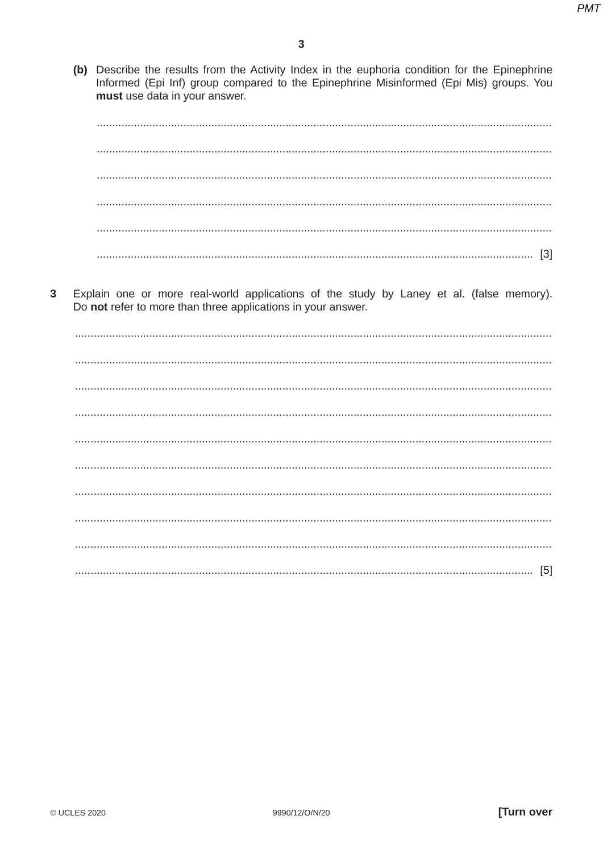(b) Describe the results from the Activity Index in the euphoria condition for the Epinephrine Informed (Epi Inf) group compared to the Epinephrine Misinformed (Epi Mis) groups. You must use data in your answer.

 $\mathbf{3}$ Explain one or more real-world applications of the study by Laney et al. (false memory). Do not refer to more than three applications in your answer.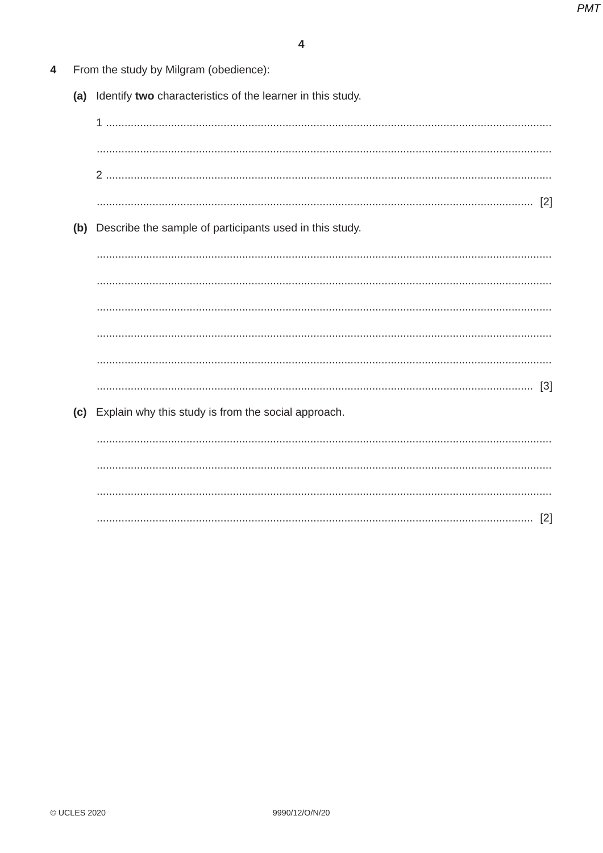| 4 | From the study by Milgram (obedience):                         |  |  |
|---|----------------------------------------------------------------|--|--|
|   | (a) Identify two characteristics of the learner in this study. |  |  |
|   |                                                                |  |  |
|   |                                                                |  |  |
|   |                                                                |  |  |
|   | $[2]$                                                          |  |  |
|   | (b) Describe the sample of participants used in this study.    |  |  |
|   |                                                                |  |  |
|   |                                                                |  |  |
|   |                                                                |  |  |
|   |                                                                |  |  |
|   |                                                                |  |  |
|   |                                                                |  |  |
|   | (c) Explain why this study is from the social approach.        |  |  |
|   |                                                                |  |  |
|   |                                                                |  |  |
|   |                                                                |  |  |
|   | $[2]$                                                          |  |  |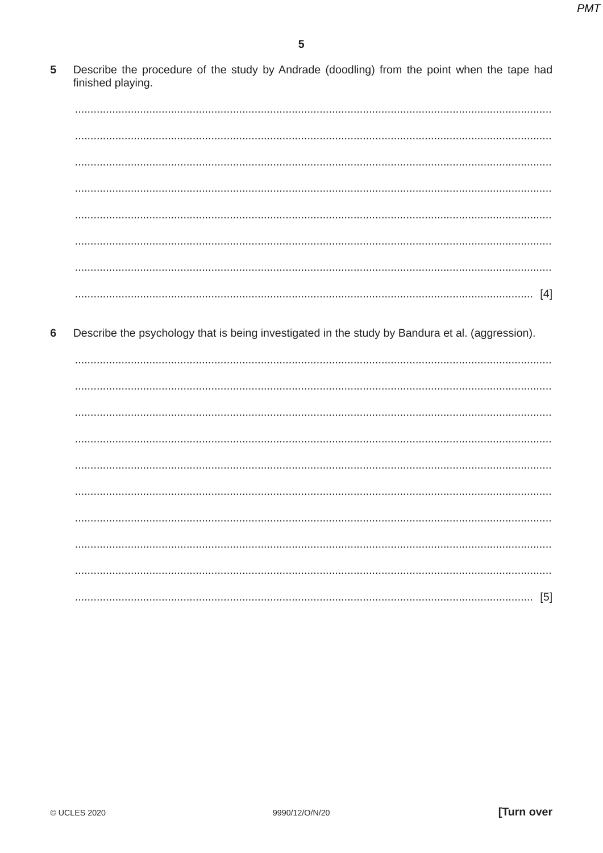| Describe the procedure of the study by Andrade (doodling) from the point when the tape had<br>finished playing. |
|-----------------------------------------------------------------------------------------------------------------|
|                                                                                                                 |
|                                                                                                                 |
|                                                                                                                 |
|                                                                                                                 |
|                                                                                                                 |
|                                                                                                                 |
|                                                                                                                 |
|                                                                                                                 |
| Describe the psychology that is being investigated in the study by Bandura et al. (aggression).                 |
|                                                                                                                 |
|                                                                                                                 |
|                                                                                                                 |
|                                                                                                                 |
|                                                                                                                 |
|                                                                                                                 |
|                                                                                                                 |
|                                                                                                                 |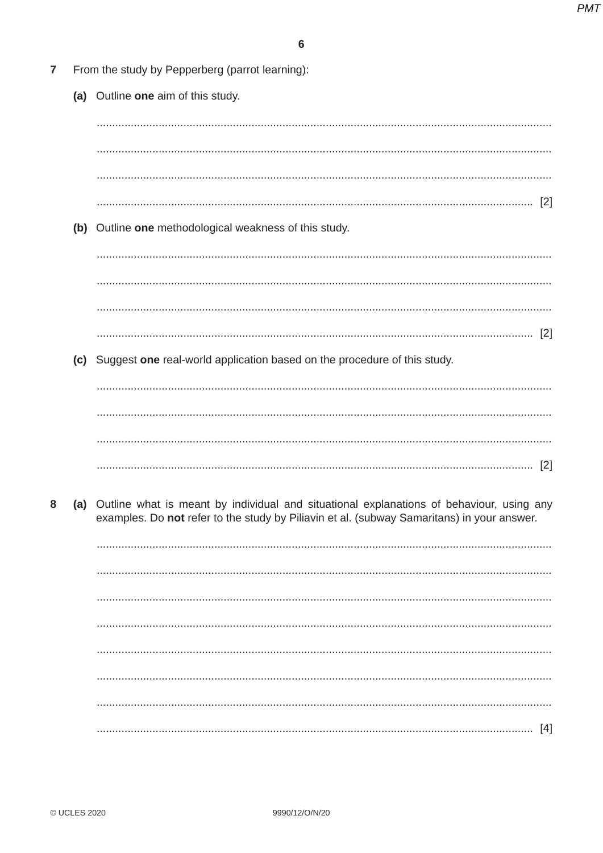| From the study by Pepperberg (parrot learning):                                                                                                                                            |
|--------------------------------------------------------------------------------------------------------------------------------------------------------------------------------------------|
| (a) Outline one aim of this study.                                                                                                                                                         |
|                                                                                                                                                                                            |
|                                                                                                                                                                                            |
|                                                                                                                                                                                            |
|                                                                                                                                                                                            |
| (b) Outline one methodological weakness of this study.                                                                                                                                     |
|                                                                                                                                                                                            |
|                                                                                                                                                                                            |
|                                                                                                                                                                                            |
|                                                                                                                                                                                            |
| (c) Suggest one real-world application based on the procedure of this study.                                                                                                               |
|                                                                                                                                                                                            |
|                                                                                                                                                                                            |
|                                                                                                                                                                                            |
|                                                                                                                                                                                            |
|                                                                                                                                                                                            |
| (a) Outline what is meant by individual and situational explanations of behaviour, using any<br>examples. Do not refer to the study by Piliavin et al. (subway Samaritans) in your answer. |
|                                                                                                                                                                                            |
|                                                                                                                                                                                            |
|                                                                                                                                                                                            |
|                                                                                                                                                                                            |
|                                                                                                                                                                                            |
|                                                                                                                                                                                            |
|                                                                                                                                                                                            |
|                                                                                                                                                                                            |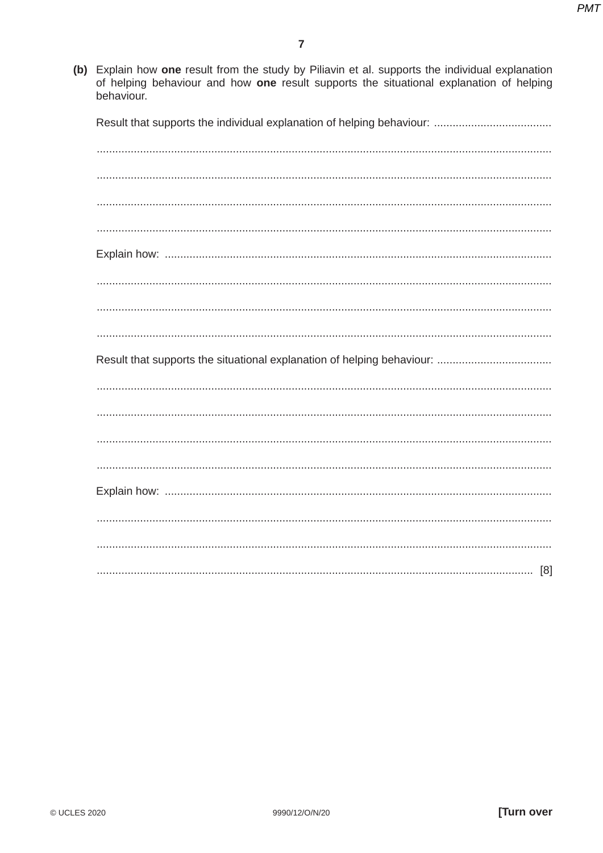- $\overline{7}$
- (b) Explain how one result from the study by Piliavin et al. supports the individual explanation of helping behaviour and how one result supports the situational explanation of helping behaviour.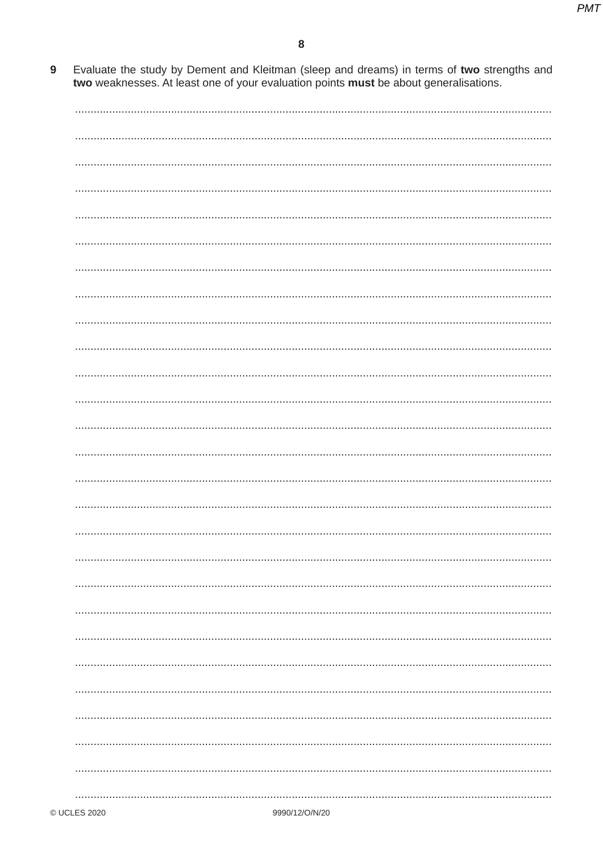Evaluate the study by Dement and Kleitman (sleep and dreams) in terms of two strengths and two weaknesses. At least one of your evaluation points must be about generalisations.  $9$ 

| <b>ES 2020</b> | 9990/12/0/N/20 |  |
|----------------|----------------|--|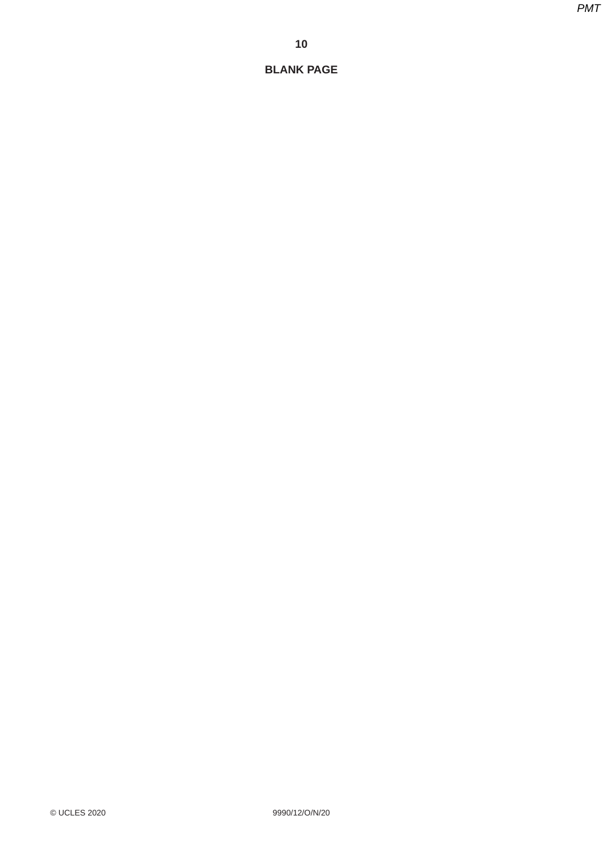## $10$

#### **BLANK PAGE**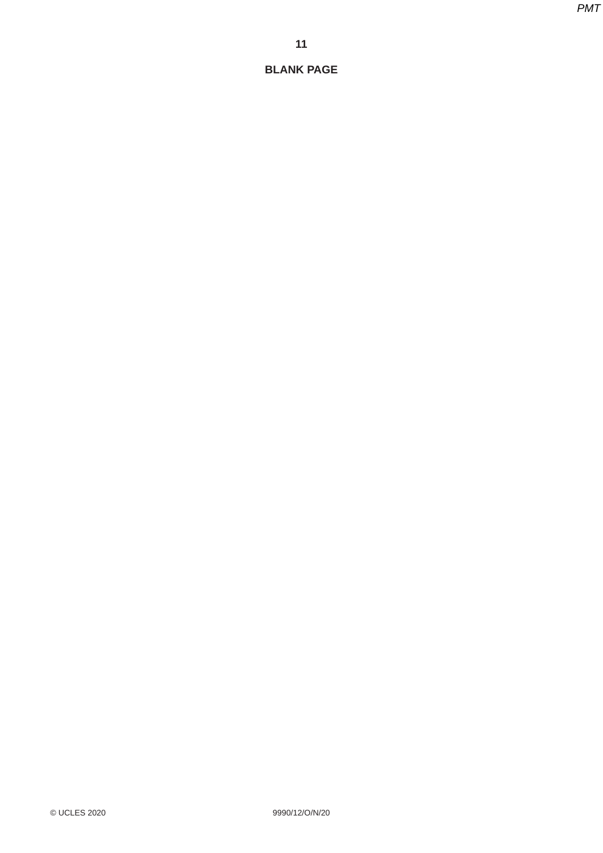# $11$

## **BLANK PAGE**